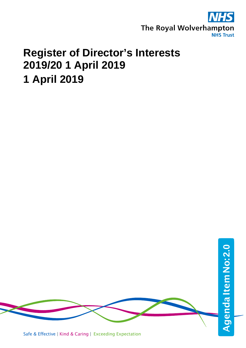

## **Register of Director's Interests 2019/20 1 April 2019 1 April 2019**

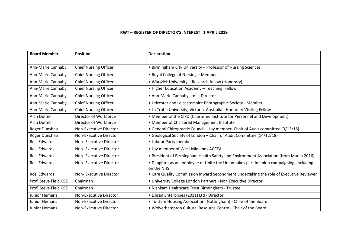## **RWT – REGISTER OF DIRECTOR'S INTEREST 1 APRIL 2019**

| <b>Board Member</b>   | <b>Position</b>               | <b>Declaration</b>                                                                                    |
|-----------------------|-------------------------------|-------------------------------------------------------------------------------------------------------|
|                       |                               |                                                                                                       |
| Ann-Marie Cannaby     | <b>Chief Nursing Officer</b>  | • Birmingham City University - Professor of Nursing Sciences                                          |
| Ann-Marie Cannaby     | <b>Chief Nursing Officer</b>  | . Royal College of Nursing - Member                                                                   |
| Ann-Marie Cannaby     | <b>Chief Nursing Officer</b>  | • Warwick University - Research fellow (Honorary)                                                     |
| Ann-Marie Cannaby     | <b>Chief Nursing Officer</b>  | • Higher Education Academy - Teaching Fellow                                                          |
| Ann-Marie Cannaby     | <b>Chief Nursing Officer</b>  | • Ann-Marie Cannaby Ltd. - Director                                                                   |
| Ann-Marie Cannaby     | <b>Chief Nursing Officer</b>  | • Leicester and Leicestershire Photographic Society - Member                                          |
| Ann-Marie Cannaby     | <b>Chief Nursing Officer</b>  | • La Trobe University, Victoria, Australia - Honorary Visiting Fellow                                 |
| <b>Alan Duffell</b>   | Director of Workforce         | • Member of the CIPD (Chartered Institute for Personnel and Development)                              |
| Alan Duffell          | Director of Workforce         | • Member of Chartered Management Institute                                                            |
| Roger Dunshea         | <b>Non-Executive Director</b> | • General Chiropractic Council - Lay member, Chair of Audit committee (3/12/18)                       |
| Roger Dunshea         | Non-Executive Director        | • Geological Society of London - Chair of Audit Committee (14/12/18)                                  |
| Rosi Edwards          | Non-Executive Director        | • Labour Party member                                                                                 |
| Rosi Edwards          | Non-Executive Director        | • Lay member of West Midlands ACCEA                                                                   |
| Rosi Edwards          | Non-Executive Director        | . President of Birmingham Health Safety and Environment Association (from March 2016)                 |
| Rosi Edwards          | Non-Executive Director        | • Daughter as an employee of Unite the Union takes part in union campaigning, including<br>on the NHS |
| Rosi Edwards          | Non-Executive Director        | • Care Quality Commission Inward Secondment undertaking the role of Executive Reviewer                |
| Prof. Steve Field CBE | Chairman                      | . University College London Partners - Non Executive Director                                         |
| Prof. Steve Field CBE | Chairman                      | · Nishkam Healthcare Trust Birmingham - Trustee                                                       |
| <b>Junior Hemans</b>  | <b>Non-Executive Director</b> | • Libran Enterprises (2011) Ltd - Director                                                            |
| Junior Hemans         | Non-Executive Director        | • Tuntum Housing Association (Nottingham) - Chair of the Board                                        |
| Junior Hemans         | Non-Executive Director        | . Wolverhampton Cultural Resource Centre - Chair of the Board                                         |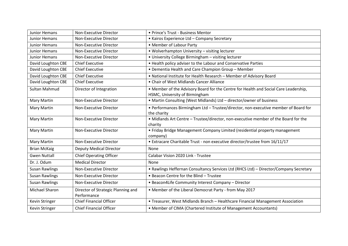| <b>Junior Hemans</b>  | <b>Non-Executive Director</b>                     | • Prince's Trust - Business Mentor                                                    |
|-----------------------|---------------------------------------------------|---------------------------------------------------------------------------------------|
| <b>Junior Hemans</b>  | <b>Non-Executive Director</b>                     | • Kairos Experience Ltd - Company Secretary                                           |
| Junior Hemans         | Non-Executive Director                            | • Member of Labour Party                                                              |
| Junior Hemans         | Non-Executive Director                            | • Wolverhampton University - visiting lecturer                                        |
| Junior Hemans         | Non-Executive Director                            | • University College Birmingham - visiting lecturer                                   |
| David Loughton CBE    | <b>Chief Executive</b>                            | • Health policy adviser to the Labour and Conservative Parties                        |
| David Loughton CBE    | <b>Chief Executive</b>                            | • Dementia Health and Care Champion Group - Member                                    |
| David Loughton CBE    | <b>Chief Executive</b>                            | . National Institute for Health Research - Member of Advisory Board                   |
| David Loughton CBE    | <b>Chief Executive</b>                            | • Chair of West Midlands Cancer Alliance                                              |
| <b>Sultan Mahmud</b>  | Director of Integration                           | . Member of the Advisory Board for the Centre for Health and Social Care Leadership,  |
|                       |                                                   | HSMC, University of Birmingham                                                        |
| Mary Martin           | <b>Non-Executive Director</b>                     | • Martin Consulting (West Midlands) Ltd - director/owner of business                  |
| <b>Mary Martin</b>    | Non-Executive Director                            | • Performances Birmingham Ltd - Trustee/director, non-executive member of Board for   |
|                       |                                                   | the charity                                                                           |
| <b>Mary Martin</b>    | Non-Executive Director                            | . Midlands Art Centre - Trustee/director, non-executive member of the Board for the   |
|                       |                                                   | charity                                                                               |
| <b>Mary Martin</b>    | Non-Executive Director                            | • Friday Bridge Management Company Limited (residential property management           |
|                       |                                                   | company)                                                                              |
| Mary Martin           | Non-Executive Director                            | • Extracare Charitable Trust - non executive director/trustee from 16/11/17           |
| <b>Brian McKaig</b>   | <b>Deputy Medical Director</b>                    | None                                                                                  |
| <b>Gwen Nuttall</b>   | <b>Chief Operating Officer</b>                    | Calabar Vision 2020 Link - Trustee                                                    |
| Dr. J. Odum           | <b>Medical Director</b>                           | None                                                                                  |
| <b>Susan Rawlings</b> | Non-Executive Director                            | • Rawlings Heffernan Consultancy Services Ltd (RHCS Ltd) - Director/Company Secretary |
| <b>Susan Rawlings</b> | Non-Executive Director                            | • Beacon Centre for the Blind - Trustee                                               |
| <b>Susan Rawlings</b> | Non-Executive Director                            | • Beacon4Life Community Interest Company - Director                                   |
| Michael Sharon        | Director of Strategic Planning and<br>Performance | • Member of the Liberal Democrat Party - from May 2017                                |
| Kevin Stringer        | <b>Chief Financial Officer</b>                    | • Treasurer, West Midlands Branch - Healthcare Financial Management Association       |
| Kevin Stringer        | <b>Chief Financial Officer</b>                    | • Member of CIMA (Chartered Institute of Management Accountants)                      |